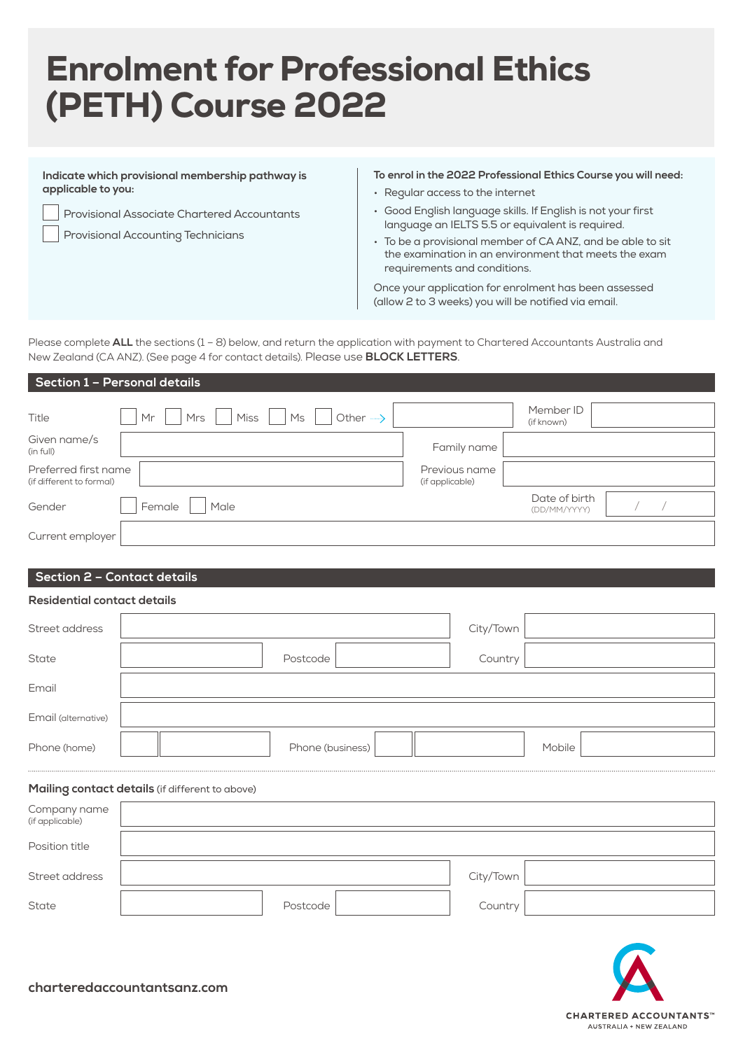# Enrolment for Professional Ethics (PETH) Course 2022

## **Indicate which provisional membership pathway is applicable to you:**

Provisional Associate Chartered Accountants

Provisional Accounting Technicians

## **To enrol in the 2022 Professional Ethics Course you will need:**

- Regular access to the internet
- Good English language skills. If English is not your first language an IELTS 5.5 or equivalent is required.
- To be a provisional member of CA ANZ, and be able to sit the examination in an environment that meets the exam requirements and conditions.

Once your application for enrolment has been assessed (allow 2 to 3 weeks) you will be notified via email.

Please complete **ALL** the sections (1 – 8) below, and return the application with payment to Chartered Accountants Australia and New Zealand (CA ANZ). (See page 4 for contact details). Please use **BLOCK LETTERS**.

## **Section 1 – Personal details**

| Title<br>Miss<br>Other $\longrightarrow$<br>Ms<br>Mr<br>Mrs |                                  | Member ID<br>(if known)       |  |
|-------------------------------------------------------------|----------------------------------|-------------------------------|--|
| Given name/s<br>(in full)                                   | Family name                      |                               |  |
| Preferred first name<br>(if different to formal)            | Previous name<br>(if applicable) |                               |  |
| Gender<br>Female<br>Male                                    |                                  | Date of birth<br>(DD/MM/YYYY) |  |
| Current employer                                            |                                  |                               |  |

# **Section 2 – Contact details**

# **Residential contact details**

| Street address      | City/Town                  |
|---------------------|----------------------------|
| State               | Postcode<br>Country        |
| Email               |                            |
| Email (alternative) |                            |
| Phone (home)        | Phone (business)<br>Mobile |
|                     |                            |

## **Mailing contact details** (if different to above)

| Company name<br>(if applicable) |          |           |  |
|---------------------------------|----------|-----------|--|
| <b>Position title</b>           |          |           |  |
| Street address                  |          | City/Town |  |
| State                           | Postcode | Country   |  |

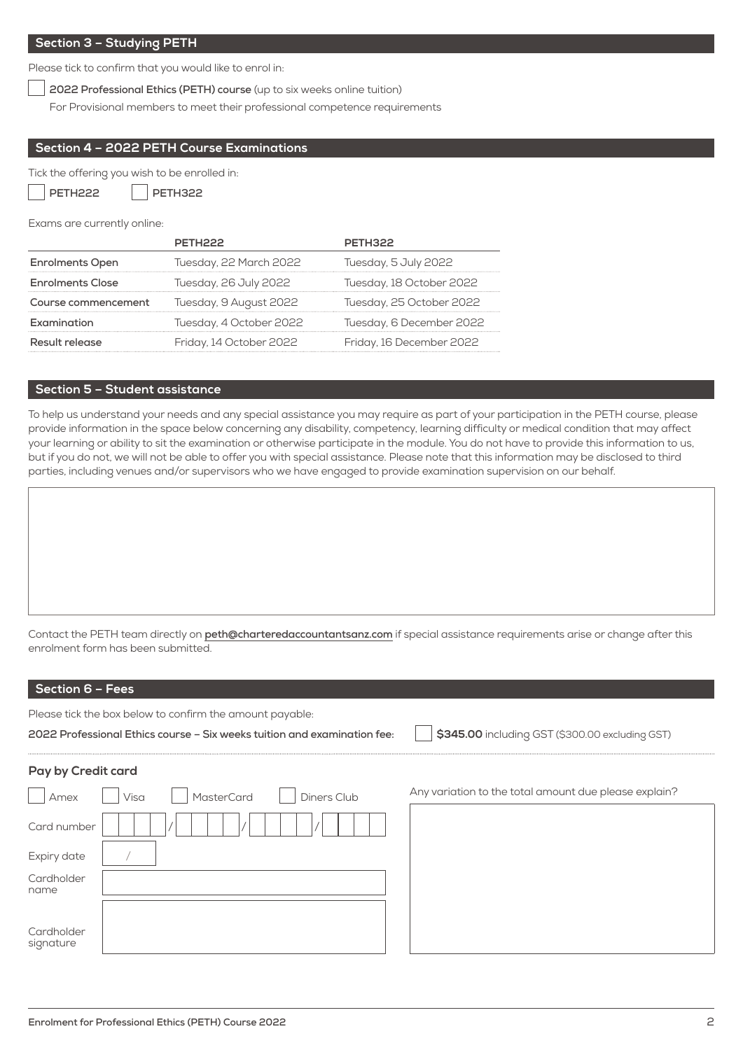## **Section 3 – Studying PETH**

Please tick to confirm that you would like to enrol in:

**2022 Professional Ethics (PETH) course** (up to six weeks online tuition)

For Provisional members to meet their professional competence requirements

## **Section 4 – 2022 PETH Course Examinations**

Tick the offering you wish to be enrolled in:

**PETH222 PETH322**

Exams are currently online:

|                         | <b>PFTH222</b>          | PETH322                  |
|-------------------------|-------------------------|--------------------------|
| <b>Enrolments Open</b>  | Tuesday, 22 March 2022  | Tuesday, 5 July 2022     |
| <b>Enrolments Close</b> | Tuesday, 26 July 2022   | Tuesday, 18 October 2022 |
| Course commencement     | Tuesday, 9 August 2022  | Tuesday, 25 October 2022 |
| Examination             | Tuesday, 4 October 2022 | Tuesday, 6 December 2022 |
| Result release          | Friday, 14 October 2022 | Friday, 16 December 2022 |

## **Section 5 – Student assistance**

To help us understand your needs and any special assistance you may require as part of your participation in the PETH course, please provide information in the space below concerning any disability, competency, learning difficulty or medical condition that may affect your learning or ability to sit the examination or otherwise participate in the module. You do not have to provide this information to us, but if you do not, we will not be able to offer you with special assistance. Please note that this information may be disclosed to third parties, including venues and/or supervisors who we have engaged to provide examination supervision on our behalf.

Contact the PETH team directly on **[peth@charteredaccountantsanz.com](mailto:peth%40charteredaccountantsanz.com?subject=)** if special assistance requirements arise or change after this enrolment form has been submitted.

## **Section 6 – Fees**

Please tick the box below to confirm the amount payable:

**2022 Professional Ethics course – Six weeks tuition and examination fee: \$345.00** including GST (\$300.00 excluding GST)

## **Pay by Credit card**

| Amex                    | Visa | <b>MasterCard</b> | Diners Club | Any |
|-------------------------|------|-------------------|-------------|-----|
| Card number             |      |                   |             |     |
| Expiry date             |      |                   |             |     |
| Cardholder<br>name      |      |                   |             |     |
|                         |      |                   |             |     |
| Cardholder<br>signature |      |                   |             |     |

variation to the total amount due please explain?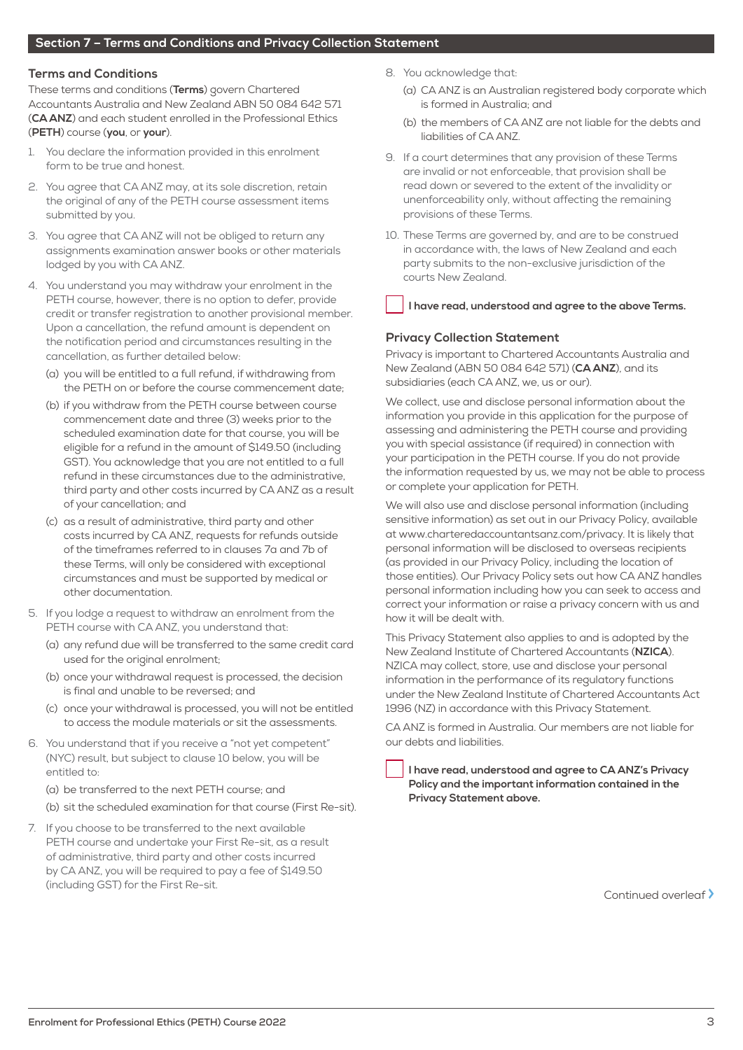# **Terms and Conditions**

These terms and conditions (**Terms**) govern Chartered Accountants Australia and New Zealand ABN 50 084 642 571 (**CA ANZ**) and each student enrolled in the Professional Ethics (**PETH**) course (**you**, or **your**).

- 1. You declare the information provided in this enrolment form to be true and honest.
- 2. You agree that CA ANZ may, at its sole discretion, retain the original of any of the PETH course assessment items submitted by you.
- 3. You agree that CA ANZ will not be obliged to return any assignments examination answer books or other materials lodged by you with CA ANZ.
- 4. You understand you may withdraw your enrolment in the PETH course, however, there is no option to defer, provide credit or transfer registration to another provisional member. Upon a cancellation, the refund amount is dependent on the notification period and circumstances resulting in the cancellation, as further detailed below:
	- (a) you will be entitled to a full refund, if withdrawing from the PETH on or before the course commencement date;
	- (b) if you withdraw from the PETH course between course commencement date and three (3) weeks prior to the scheduled examination date for that course, you will be eligible for a refund in the amount of \$149.50 (including GST). You acknowledge that you are not entitled to a full refund in these circumstances due to the administrative, third party and other costs incurred by CA ANZ as a result of your cancellation; and
	- (c) as a result of administrative, third party and other costs incurred by CA ANZ, requests for refunds outside of the timeframes referred to in clauses 7a and 7b of these Terms, will only be considered with exceptional circumstances and must be supported by medical or other documentation.
- 5. If you lodge a request to withdraw an enrolment from the PETH course with CA ANZ, you understand that:
	- (a) any refund due will be transferred to the same credit card used for the original enrolment;
	- (b) once your withdrawal request is processed, the decision is final and unable to be reversed; and
	- (c) once your withdrawal is processed, you will not be entitled to access the module materials or sit the assessments.
- 6. You understand that if you receive a "not yet competent" (NYC) result, but subject to clause 10 below, you will be entitled to:
	- (a) be transferred to the next PETH course; and
	- (b) sit the scheduled examination for that course (First Re-sit).
- 7. If you choose to be transferred to the next available PETH course and undertake your First Re-sit, as a result of administrative, third party and other costs incurred by CA ANZ, you will be required to pay a fee of \$149.50 (including GST) for the First Re-sit.
- 8. You acknowledge that:
	- (a) CA ANZ is an Australian registered body corporate which is formed in Australia; and
	- (b) the members of CA ANZ are not liable for the debts and liabilities of CA ANZ.
- 9. If a court determines that any provision of these Terms are invalid or not enforceable, that provision shall be read down or severed to the extent of the invalidity or unenforceability only, without affecting the remaining provisions of these Terms.
- 10. These Terms are governed by, and are to be construed in accordance with, the laws of New Zealand and each party submits to the non-exclusive jurisdiction of the courts New Zealand.
	-

# **I have read, understood and agree to the above Terms.**

# **Privacy Collection Statement**

Privacy is important to Chartered Accountants Australia and New Zealand (ABN 50 084 642 571) (**CA ANZ**), and its subsidiaries (each CA ANZ, we, us or our).

We collect, use and disclose personal information about the information you provide in this application for the purpose of assessing and administering the PETH course and providing you with special assistance (if required) in connection with your participation in the PETH course. If you do not provide the information requested by us, we may not be able to process or complete your application for PETH.

We will also use and disclose personal information (including sensitive information) as set out in our Privacy Policy, available at www.charteredaccountantsanz.com/privacy. It is likely that personal information will be disclosed to overseas recipients (as provided in our Privacy Policy, including the location of those entities). Our Privacy Policy sets out how CA ANZ handles personal information including how you can seek to access and correct your information or raise a privacy concern with us and how it will be dealt with.

This Privacy Statement also applies to and is adopted by the New Zealand Institute of Chartered Accountants (**NZICA**). NZICA may collect, store, use and disclose your personal information in the performance of its regulatory functions under the New Zealand Institute of Chartered Accountants Act 1996 (NZ) in accordance with this Privacy Statement.

CA ANZ is formed in Australia. Our members are not liable for our debts and liabilities.

**I have read, understood and agree to CA ANZ's Privacy Policy and the important information contained in the Privacy Statement above.**

Continued overleaf **>**